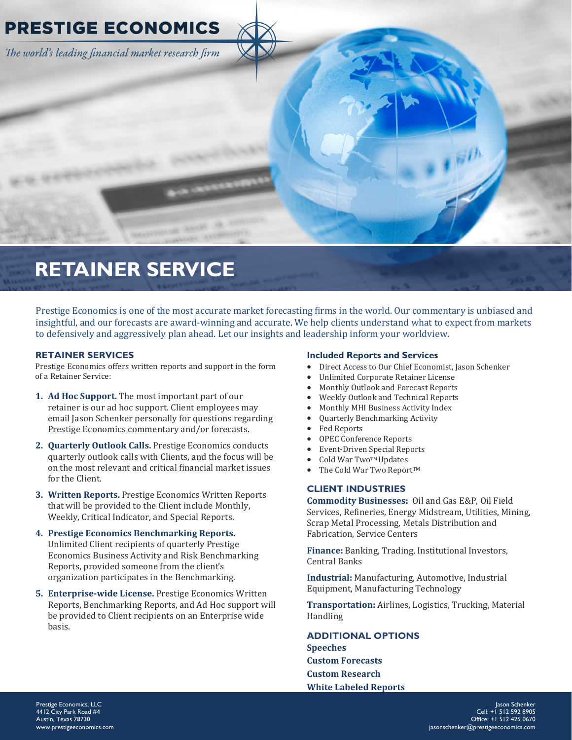

# **RETAINER SERVICE**

Prestige Economics is one of the most accurate market forecasting firms in the world. Our commentary is unbiased and insightful, and our forecasts are award-winning and accurate. We help clients understand what to expect from markets to defensively and aggressively plan ahead. Let our insights and leadership inform your worldview.

# **RETAINER SERVICES**

Prestige Economics offers written reports and support in the form of a Retainer Service:

- **1. Ad Hoc Support.** The most important part of our retainer is our ad hoc support. Client employees may email Jason Schenker personally for questions regarding Prestige Economics commentary and/or forecasts.
- **2. Quarterly Outlook Calls.** Prestige Economics conducts quarterly outlook calls with Clients, and the focus will be on the most relevant and critical financial market issues for the Client.
- **3. Written Reports.** Prestige Economics Written Reports that will be provided to the Client include Monthly, Weekly, Critical Indicator, and Special Reports.
- **4. Prestige Economics Benchmarking Reports.**  Unlimited Client recipients of quarterly Prestige Economics Business Activity and Risk Benchmarking Reports, provided someone from the client's organization participates in the Benchmarking.
- **5. Enterprise-wide License.** Prestige Economics Written Reports, Benchmarking Reports, and Ad Hoc support will be provided to Client recipients on an Enterprise wide basis.

## **Included Reports and Services**

- Direct Access to Our Chief Economist, Jason Schenker
- Unlimited Corporate Retainer License
- Monthly Outlook and Forecast Reports
- Weekly Outlook and Technical Reports
- Monthly MHI Business Activity Index
- Quarterly Benchmarking Activity
- Fed Reports
- OPEC Conference Reports
- Event-Driven Special Reports
- Cold War Two™ Updates
- The Cold War Two Report™

# **CLIENT INDUSTRIES**

**Commodity Businesses:** Oil and Gas E&P, Oil Field Services, Refineries, Energy Midstream, Utilities, Mining, Scrap Metal Processing, Metals Distribution and Fabrication, Service Centers

**Finance:** Banking, Trading, Institutional Investors, Central Banks

**Industrial:** Manufacturing, Automotive, Industrial Equipment, Manufacturing Technology

**Transportation:** Airlines, Logistics, Trucking, Material Handling

**ADDITIONAL OPTIONS Speeches Custom Forecasts Custom Research White Labeled Reports**